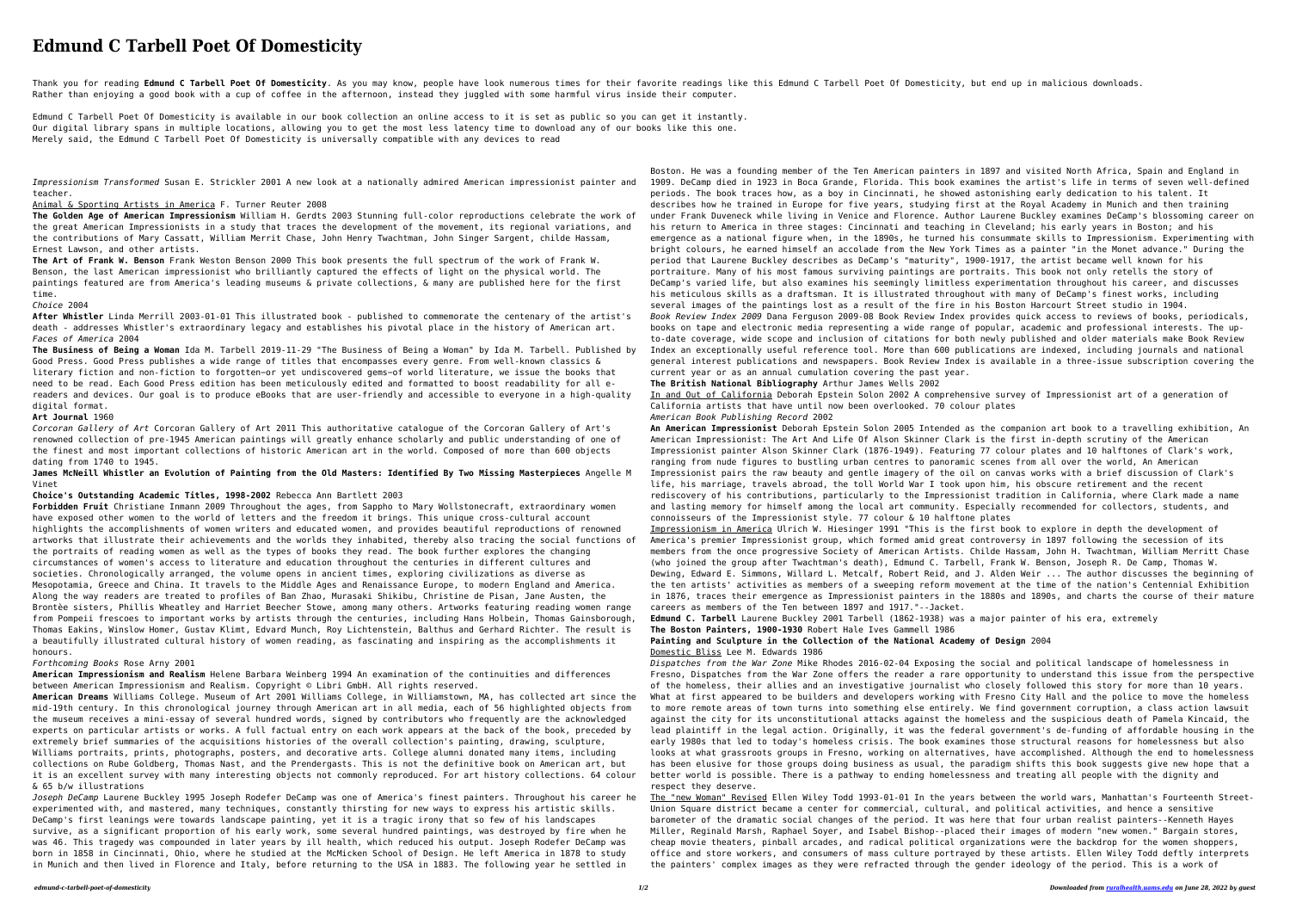# **Edmund C Tarbell Poet Of Domesticity**

Thank you for reading Edmund C Tarbell Poet Of Domesticity. As you may know, people have look numerous times for their favorite readings like this Edmund C Tarbell Poet Of Domesticity, but end up in malicious downloads. Rather than enjoying a good book with a cup of coffee in the afternoon, instead they juggled with some harmful virus inside their computer.

Edmund C Tarbell Poet Of Domesticity is available in our book collection an online access to it is set as public so you can get it instantly. Our digital library spans in multiple locations, allowing you to get the most less latency time to download any of our books like this one. Merely said, the Edmund C Tarbell Poet Of Domesticity is universally compatible with any devices to read

*Impressionism Transformed* Susan E. Strickler 2001 A new look at a nationally admired American impressionist painter and teacher.

#### Animal & Sporting Artists in America F. Turner Reuter 2008

**The Golden Age of American Impressionism** William H. Gerdts 2003 Stunning full-color reproductions celebrate the work of the great American Impressionists in a study that traces the development of the movement, its regional variations, and the contributions of Mary Cassatt, William Merrit Chase, John Henry Twachtman, John Singer Sargent, childe Hassam, Ernest Lawson, and other artists.

**The Art of Frank W. Benson** Frank Weston Benson 2000 This book presents the full spectrum of the work of Frank W. Benson, the last American impressionist who brilliantly captured the effects of light on the physical world. The paintings featured are from America's leading museums & private collections, & many are published here for the first time.

*Choice* 2004

**After Whistler** Linda Merrill 2003-01-01 This illustrated book - published to commemorate the centenary of the artist's death - addresses Whistler's extraordinary legacy and establishes his pivotal place in the history of American art. *Faces of America* 2004

**The Business of Being a Woman** Ida M. Tarbell 2019-11-29 "The Business of Being a Woman" by Ida M. Tarbell. Published by Good Press. Good Press publishes a wide range of titles that encompasses every genre. From well-known classics & literary fiction and non-fiction to forgotten−or yet undiscovered gems−of world literature, we issue the books that need to be read. Each Good Press edition has been meticulously edited and formatted to boost readability for all ereaders and devices. Our goal is to produce eBooks that are user-friendly and accessible to everyone in a high-quality digital format.

### **Art Journal** 1960

*Corcoran Gallery of Art* Corcoran Gallery of Art 2011 This authoritative catalogue of the Corcoran Gallery of Art's renowned collection of pre-1945 American paintings will greatly enhance scholarly and public understanding of one of the finest and most important collections of historic American art in the world. Composed of more than 600 objects dating from 1740 to 1945.

**James McNeill Whistler an Evolution of Painting from the Old Masters: Identified By Two Missing Masterpieces** Angelle M Vinet

**Choice's Outstanding Academic Titles, 1998-2002** Rebecca Ann Bartlett 2003

**Forbidden Fruit** Christiane Inmann 2009 Throughout the ages, from Sappho to Mary Wollstonecraft, extraordinary women have exposed other women to the world of letters and the freedom it brings. This unique cross-cultural account highlights the accomplishments of women writers and educated women, and provides beautiful reproductions of renowned artworks that illustrate their achievements and the worlds they inhabited, thereby also tracing the social functions of the portraits of reading women as well as the types of books they read. The book further explores the changing circumstances of women's access to literature and education throughout the centuries in different cultures and societies. Chronologically arranged, the volume opens in ancient times, exploring civilizations as diverse as Mesopotamia, Greece and China. It travels to the Middle Ages and Renaissance Europe, to modern England and America. Along the way readers are treated to profiles of Ban Zhao, Murasaki Shikibu, Christine de Pisan, Jane Austen, the Brontèe sisters, Phillis Wheatley and Harriet Beecher Stowe, among many others. Artworks featuring reading women range from Pompeii frescoes to important works by artists through the centuries, including Hans Holbein, Thomas Gainsborough, Thomas Eakins, Winslow Homer, Gustav Klimt, Edvard Munch, Roy Lichtenstein, Balthus and Gerhard Richter. The result is a beautifully illustrated cultural history of women reading, as fascinating and inspiring as the accomplishments it honours.

#### *Forthcoming Books* Rose Arny 2001

**American Impressionism and Realism** Helene Barbara Weinberg 1994 An examination of the continuities and differences between American Impressionism and Realism. Copyright © Libri GmbH. All rights reserved.

**American Dreams** Williams College. Museum of Art 2001 Williams College, in Williamstown, MA, has collected art since the mid-19th century. In this chronological journey through American art in all media, each of 56 highlighted objects from the museum receives a mini-essay of several hundred words, signed by contributors who frequently are the acknowledged experts on particular artists or works. A full factual entry on each work appears at the back of the book, preceded by extremely brief summaries of the acquisitions histories of the overall collection's painting, drawing, sculpture, Williams portraits, prints, photographs, posters, and decorative arts. College alumni donated many items, including collections on Rube Goldberg, Thomas Nast, and the Prendergasts. This is not the definitive book on American art, but it is an excellent survey with many interesting objects not commonly reproduced. For art history collections. 64 colour & 65 b/w illustrations

*Joseph DeCamp* Laurene Buckley 1995 Joseph Rodefer DeCamp was one of America's finest painters. Throughout his career he experimented with, and mastered, many techniques, constantly thirsting for new ways to express his artistic skills. DeCamp's first leanings were towards landscape painting, yet it is a tragic irony that so few of his landscapes survive, as a significant proportion of his early work, some several hundred paintings, was destroyed by fire when he was 46. This tragedy was compounded in later years by ill health, which reduced his output. Joseph Rodefer DeCamp was born in 1858 in Cincinnati, Ohio, where he studied at the McMicken School of Design. He left America in 1878 to study in Munich and then lived in Florence and Italy, before returning to the USA in 1883. The following year he settled in

Boston. He was a founding member of the Ten American painters in 1897 and visited North Africa, Spain and England in 1909. DeCamp died in 1923 in Boca Grande, Florida. This book examines the artist's life in terms of seven well-defined periods. The book traces how, as a boy in Cincinnati, he showed astonishing early dedication to his talent. It describes how he trained in Europe for five years, studying first at the Royal Academy in Munich and then training under Frank Duveneck while living in Venice and Florence. Author Laurene Buckley examines DeCamp's blossoming career on his return to America in three stages: Cincinnati and teaching in Cleveland; his early years in Boston; and his emergence as a national figure when, in the 1890s, he turned his consummate skills to Impressionism. Experimenting with bright colours, he earned himself an accolade from the New York Times as a painter "in the Monet advance." During the period that Laurene Buckley describes as DeCamp's "maturity", 1900-1917, the artist became well known for his portraiture. Many of his most famous surviving paintings are portraits. This book not only retells the story of DeCamp's varied life, but also examines his seemingly limitless experimentation throughout his career, and discusses his meticulous skills as a draftsman. It is illustrated throughout with many of DeCamp's finest works, including several images of the paintings lost as a result of the fire in his Boston Harcourt Street studio in 1904. *Book Review Index 2009* Dana Ferguson 2009-08 Book Review Index provides quick access to reviews of books, periodicals, books on tape and electronic media representing a wide range of popular, academic and professional interests. The upto-date coverage, wide scope and inclusion of citations for both newly published and older materials make Book Review Index an exceptionally useful reference tool. More than 600 publications are indexed, including journals and national general interest publications and newspapers. Book Review Index is available in a three-issue subscription covering the current year or as an annual cumulation covering the past year.

#### **The British National Bibliography** Arthur James Wells 2002

In and Out of California Deborah Epstein Solon 2002 A comprehensive survey of Impressionist art of a generation of California artists that have until now been overlooked. 70 colour plates

*American Book Publishing Record* 2002

**An American Impressionist** Deborah Epstein Solon 2005 Intended as the companion art book to a travelling exhibition, An American Impressionist: The Art And Life Of Alson Skinner Clark is the first in-depth scrutiny of the American Impressionist painter Alson Skinner Clark (1876-1949). Featuring 77 colour plates and 10 halftones of Clark's work, ranging from nude figures to bustling urban centres to panoramic scenes from all over the world, An American Impressionist pairs the raw beauty and gentle imagery of the oil on canvas works with a brief discussion of Clark's life, his marriage, travels abroad, the toll World War I took upon him, his obscure retirement and the recent rediscovery of his contributions, particularly to the Impressionist tradition in California, where Clark made a name and lasting memory for himself among the local art community. Especially recommended for collectors, students, and connoisseurs of the Impressionist style. 77 colour & 10 halftone plates

Impressionism in America Ulrich W. Hiesinger 1991 "This is the first book to explore in depth the development of America's premier Impressionist group, which formed amid great controversy in 1897 following the secession of its members from the once progressive Society of American Artists. Childe Hassam, John H. Twachtman, William Merritt Chase (who joined the group after Twachtman's death), Edmund C. Tarbell, Frank W. Benson, Joseph R. De Camp, Thomas W. Dewing, Edward E. Simmons, Willard L. Metcalf, Robert Reid, and J. Alden Weir ... The author discusses the beginning of the ten artists' activities as members of a sweeping reform movement at the time of the nation's Centennial Exhibition in 1876, traces their emergence as Impressionist painters in the 1880s and 1890s, and charts the course of their mature careers as members of the Ten between 1897 and 1917."--Jacket.

**Edmund C. Tarbell** Laurene Buckley 2001 Tarbell (1862-1938) was a major painter of his era, extremely

## **The Boston Painters, 1900-1930** Robert Hale Ives Gammell 1986

## **Painting and Sculpture in the Collection of the National Academy of Design** 2004

Domestic Bliss Lee M. Edwards 1986

*Dispatches from the War Zone* Mike Rhodes 2016-02-04 Exposing the social and political landscape of homelessness in Fresno, Dispatches from the War Zone offers the reader a rare opportunity to understand this issue from the perspective of the homeless, their allies and an investigative journalist who closely followed this story for more than 10 years. What at first appeared to be builders and developers working with Fresno City Hall and the police to move the homeless to more remote areas of town turns into something else entirely. We find government corruption, a class action lawsuit against the city for its unconstitutional attacks against the homeless and the suspicious death of Pamela Kincaid, the lead plaintiff in the legal action. Originally, it was the federal government's de-funding of affordable housing in the early 1980s that led to today's homeless crisis. The book examines those structural reasons for homelessness but also looks at what grassroots groups in Fresno, working on alternatives, have accomplished. Although the end to homelessness has been elusive for those groups doing business as usual, the paradigm shifts this book suggests give new hope that a better world is possible. There is a pathway to ending homelessness and treating all people with the dignity and respect they deserve.

The "new Woman" Revised Ellen Wiley Todd 1993-01-01 In the years between the world wars, Manhattan's Fourteenth Street-Union Square district became a center for commercial, cultural, and political activities, and hence a sensitive barometer of the dramatic social changes of the period. It was here that four urban realist painters--Kenneth Hayes Miller, Reginald Marsh, Raphael Soyer, and Isabel Bishop--placed their images of modern "new women." Bargain stores, cheap movie theaters, pinball arcades, and radical political organizations were the backdrop for the women shoppers, office and store workers, and consumers of mass culture portrayed by these artists. Ellen Wiley Todd deftly interprets the painters' complex images as they were refracted through the gender ideology of the period. This is a work of